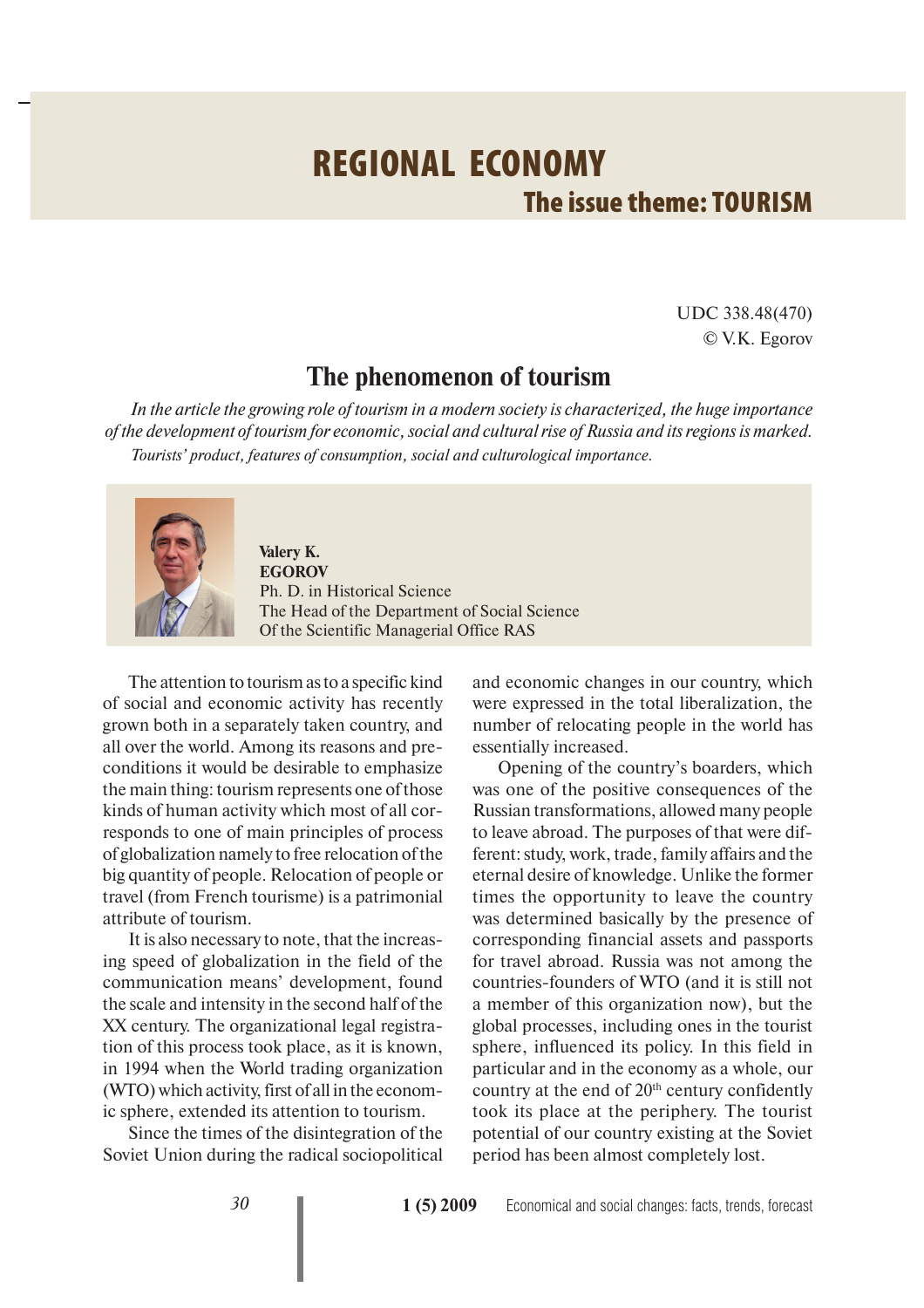## **REGIONAL ECONOMY The issue theme: TOURISM**

UDC 338.48(470) © V.K. Egorov

## **The phenomenon of tourism**

*In the article the growing role of tourism in a modern society is characterized, the huge importance of the development of tourism for economic, social and cultural rise of Russia and its regions is marked. Tourists' product, features of consumption, social and culturological importance.*



**Valery K. EGOROV** Ph. D. in Historical Science The Head of the Department of Social Science Of the Scientific Managerial Office RAS

The attention to tourism as to a specific kind of social and economic activity has recently grown both in a separately taken country, and all over the world. Among its reasons and preconditions it would be desirable to emphasize the main thing: tourism represents one of those kinds of human activity which most of all corresponds to one of main principles of process of globalization namely to free relocation of the big quantity of people. Relocation of people or travel (from French tourisme) is a patrimonial attribute of tourism.

It is also necessary to note, that the increasing speed of globalization in the field of the communication means' development, found the scale and intensity in the second half of the XX century. The organizational legal registration of this process took place, as it is known, in 1994 when the World trading organization (WTO) which activity, first of all in the economic sphere, extended its attention to tourism.

Since the times of the disintegration of the Soviet Union during the radical sociopolitical and economic changes in our country, which were expressed in the total liberalization, the number of relocating people in the world has essentially increased.

Opening of the country's boarders, which was one of the positive consequences of the Russian transformations, allowed many people to leave abroad. The purposes of that were different: study, work, trade, family affairs and the eternal desire of knowledge. Unlike the former times the opportunity to leave the country was determined basically by the presence of corresponding financial assets and passports for travel abroad. Russia was not among the countries-founders of WTO (and it is still not a member of this organization now), but the global processes, including ones in the tourist sphere, influenced its policy. In this field in particular and in the economy as a whole, our country at the end of  $20<sup>th</sup>$  century confidently took its place at the periphery. The tourist potential of our country existing at the Soviet period has been almost completely lost.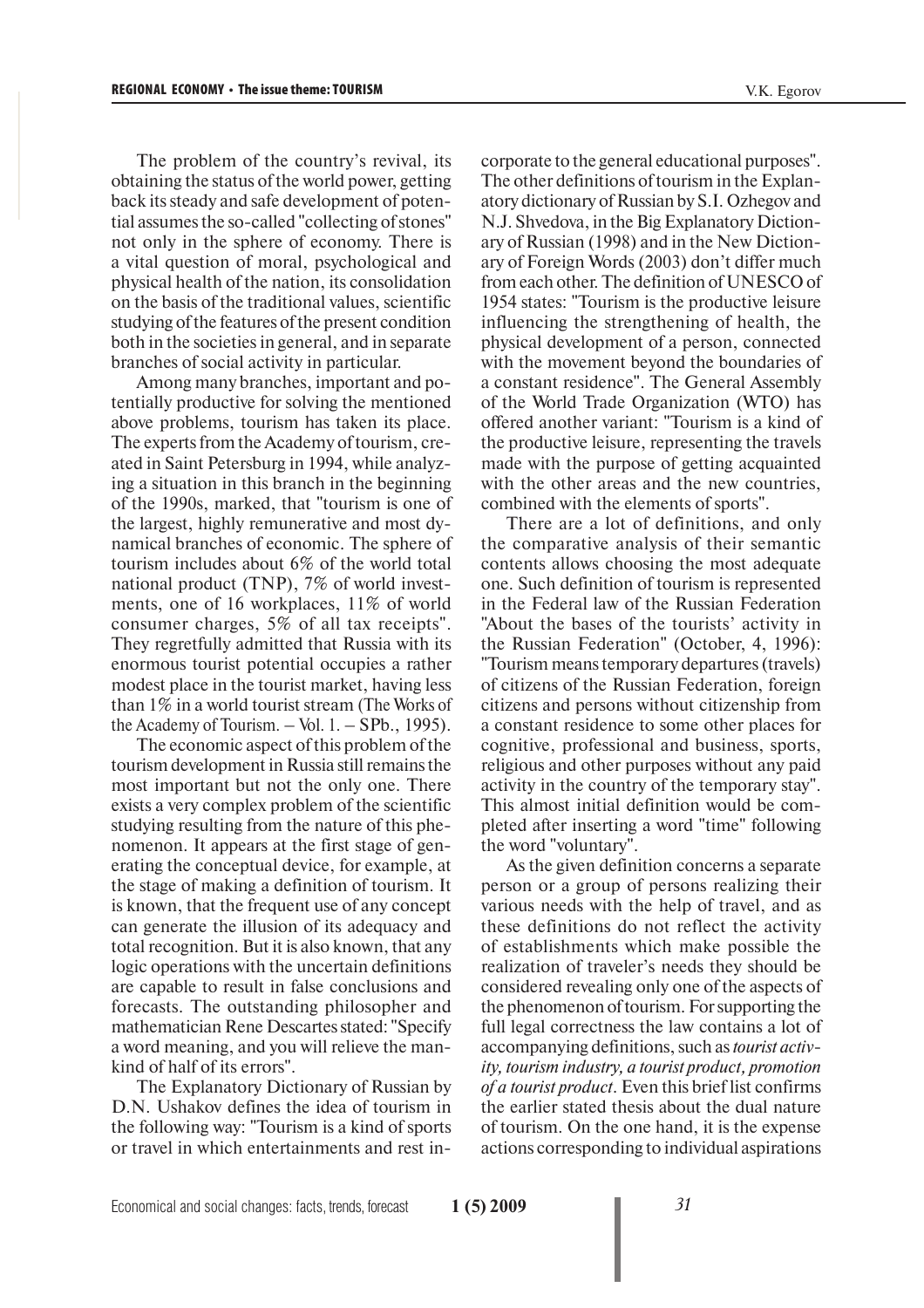The problem of the country's revival, its obtaining the status of the world power, getting back its steady and safe development of potential assumes the so-called "collecting of stones" not only in the sphere of economy. There is a vital question of moral, psychological and physical health of the nation, its consolidation on the basis of the traditional values, scientific studying of the features of the present condition both in the societies in general, and in separate branches of social activity in particular.

Among many branches, important and potentially productive for solving the mentioned above problems, tourism has taken its place. The experts from the Academy of tourism, created in Saint Petersburg in 1994, while analyzing a situation in this branch in the beginning of the 1990s, marked, that "tourism is one of the largest, highly remunerative and most dynamical branches of economic. The sphere of tourism includes about 6% of the world total national product (TNP), 7% of world investments, one of 16 workplaces, 11% of world consumer charges, 5% of all tax receipts". They regretfully admitted that Russia with its enormous tourist potential occupies a rather modest place in the tourist market, having less than 1% in a world tourist stream (The Works of the Academy of Tourism.  $-$  Vol. 1.  $-$  SPb., 1995).

The economic aspect of this problem of the tourism development in Russia still remains the most important but not the only one. There exists a very complex problem of the scientific studying resulting from the nature of this phenomenon. It appears at the first stage of generating the conceptual device, for example, at the stage of making a definition of tourism. It is known, that the frequent use of any concept can generate the illusion of its adequacy and total recognition. But it is also known, that any logic operations with the uncertain definitions are capable to result in false conclusions and forecasts. The outstanding philosopher and mathematician Rene Descartes stated: "Specify a word meaning, and you will relieve the mankind of half of its errors".

The Explanatory Dictionary of Russian by D.N. Ushakov defines the idea of tourism in the following way: "Tourism is a kind of sports or travel in which entertainments and rest incorporate to the general educational purposes". The other definitions of tourism in the Explanatory dictionary of Russian by S.I. Ozhegov and N.J. Shvedova, in the Big Explanatory Dictionary of Russian (1998) and in the New Dictionary of Foreign Words (2003) don't differ much from each other. The definition of UNESCO of 1954 states: "Tourism is the productive leisure influencing the strengthening of health, the physical development of a person, connected with the movement beyond the boundaries of a constant residence". The General Assembly of the World Trade Organization (WTO) has offered another variant: "Tourism is a kind of the productive leisure, representing the travels made with the purpose of getting acquainted with the other areas and the new countries, combined with the elements of sports".

There are a lot of definitions, and only the comparative analysis of their semantic contents allows choosing the most adequate one. Such definition of tourism is represented in the Federal law of the Russian Federation "About the bases of the tourists' activity in the Russian Federation" (October, 4, 1996): "Tourism means temporary departures (travels) of citizens of the Russian Federation, foreign citizens and persons without citizenship from a constant residence to some other places for cognitive, professional and business, sports, religious and other purposes without any paid activity in the country of the temporary stay". This almost initial definition would be completed after inserting a word "time" following the word "voluntary".

As the given definition concerns a separate person or a group of persons realizing their various needs with the help of travel, and as these definitions do not reflect the activity of establishments which make possible the realization of traveler's needs they should be considered revealing only one of the aspects of the phenomenon of tourism. For supporting the full legal correctness the law contains a lot of accompanying definitions, such as *tourist activity, tourism industry, a tourist product, promotion of a tourist product*. Even this brief list confirms the earlier stated thesis about the dual nature of tourism. On the one hand, it is the expense actions corresponding to individual aspirations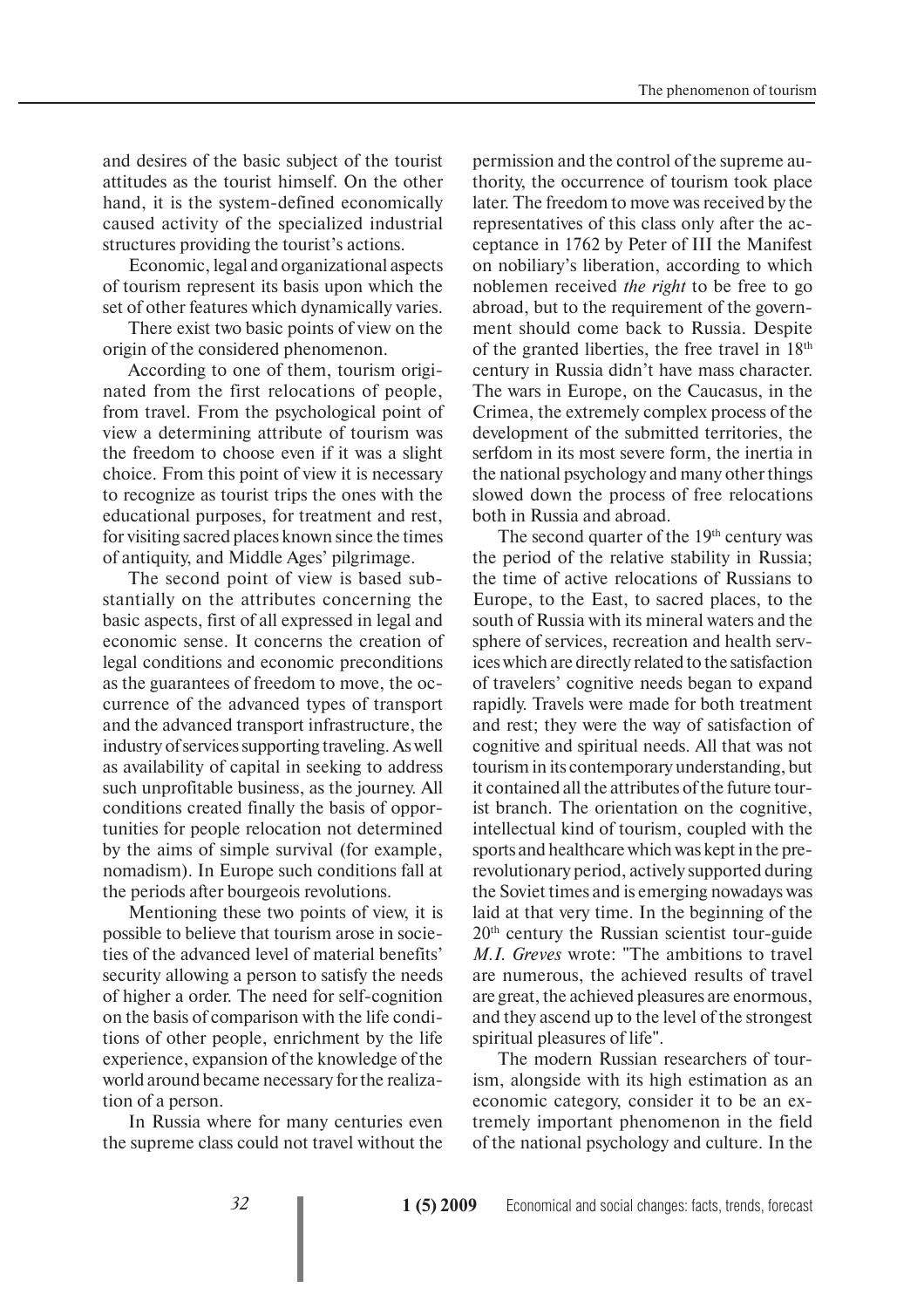and desires of the basic subject of the tourist attitudes as the tourist himself. On the other hand, it is the system-defined economically caused activity of the specialized industrial structures providing the tourist's actions.

Economic, legal and organizational aspects of tourism represent its basis upon which the set of other features which dynamically varies.

There exist two basic points of view on the origin of the considered phenomenon.

According to one of them, tourism originated from the first relocations of people, from travel. From the psychological point of view a determining attribute of tourism was the freedom to choose even if it was a slight choice. From this point of view it is necessary to recognize as tourist trips the ones with the educational purposes, for treatment and rest, for visiting sacred places known since the times of antiquity, and Middle Ages' pilgrimage.

The second point of view is based substantially on the attributes concerning the basic aspects, first of all expressed in legal and economic sense. It concerns the creation of legal conditions and economic preconditions as the guarantees of freedom to move, the occurrence of the advanced types of transport and the advanced transport infrastructure, the industry of services supporting traveling. As well as availability of capital in seeking to address such unprofitable business, as the journey. All conditions created finally the basis of opportunities for people relocation not determined by the aims of simple survival (for example, nomadism). In Europe such conditions fall at the periods after bourgeois revolutions.

Mentioning these two points of view, it is possible to believe that tourism arose in societies of the advanced level of material benefits' security allowing a person to satisfy the needs of higher a order. The need for self-cognition on the basis of comparison with the life conditions of other people, enrichment by the life experience, expansion of the knowledge of the world around became necessary for the realization of a person.

In Russia where for many centuries even the supreme class could not travel without the

permission and the control of the supreme authority, the occurrence of tourism took place later. The freedom to move was received by the representatives of this class only after the acceptance in 1762 by Peter of III the Manifest on nobiliary's liberation, according to which noblemen received *the right* to be free to go abroad, but to the requirement of the government should come back to Russia. Despite of the granted liberties, the free travel in 18th century in Russia didn't have mass character. The wars in Europe, on the Caucasus, in the Crimea, the extremely complex process of the development of the submitted territories, the serfdom in its most severe form, the inertia in the national psychology and many other things slowed down the process of free relocations both in Russia and abroad.

The second quarter of the 19<sup>th</sup> century was the period of the relative stability in Russia; the time of active relocations of Russians to Europe, to the East, to sacred places, to the south of Russia with its mineral waters and the sphere of services, recreation and health services which are directly related to the satisfaction of travelers' cognitive needs began to expand rapidly. Travels were made for both treatment and rest; they were the way of satisfaction of cognitive and spiritual needs. All that was not tourism in its contemporary understanding, but it contained all the attributes of the future tourist branch. The orientation on the cognitive, intellectual kind of tourism, coupled with the sports and healthcare which was kept in the prerevolutionary period, actively supported during the Soviet times and is emerging nowadays was laid at that very time. In the beginning of the 20th century the Russian scientist tour-guide *M.I. Greves* wrote: "The ambitions to travel are numerous, the achieved results of travel are great, the achieved pleasures are enormous, and they ascend up to the level of the strongest spiritual pleasures of life".

The modern Russian researchers of tourism, alongside with its high estimation as an economic category, consider it to be an extremely important phenomenon in the field of the national psychology and culture. In the